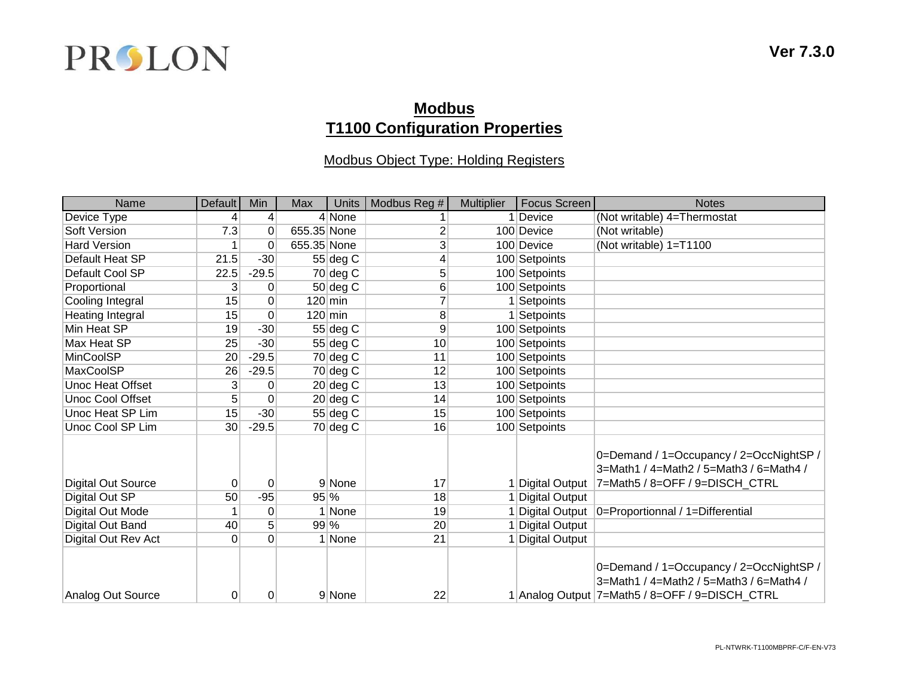

## **Modbus T1100 Configuration Properties**

#### Modbus Object Type: Holding Registers

| Name                      | Default        | Min             | Max         | Units               | Modbus Reg # | <b>Multiplier</b> | <b>Focus Screen</b>   | <b>Notes</b>                                                                                                                         |
|---------------------------|----------------|-----------------|-------------|---------------------|--------------|-------------------|-----------------------|--------------------------------------------------------------------------------------------------------------------------------------|
| Device Type               |                | $\vert 4 \vert$ |             | 4 None              |              |                   | Device                | (Not writable) 4=Thermostat                                                                                                          |
| Soft Version              | 7.3            | 0               | 655.35 None |                     | 2            |                   | 100 Device            | (Not writable)                                                                                                                       |
| <b>Hard Version</b>       |                | 0               | 655.35 None |                     | 3            |                   | 100 Device            | (Not writable) 1=T1100                                                                                                               |
| Default Heat SP           | 21.5           | $-30$           |             | $55$ deg C          | 4            |                   | 100 Setpoints         |                                                                                                                                      |
| Default Cool SP           | 22.5           | $-29.5$         |             | $70$ deg C          | 5            |                   | 100 Setpoints         |                                                                                                                                      |
| Proportional              | 3              | 0               |             | $50$ deg C          | 6            |                   | 100 Setpoints         |                                                                                                                                      |
| Cooling Integral          | 15             | $\Omega$        |             | $120 \, \text{min}$ |              |                   | 1 Setpoints           |                                                                                                                                      |
| Heating Integral          | 15             | $\Omega$        |             | $120 \, \text{min}$ | 8            |                   | 1 Setpoints           |                                                                                                                                      |
| Min Heat SP               | 19             | $-30$           |             | $55$ deg C          | 9            |                   | 100 Setpoints         |                                                                                                                                      |
| Max Heat SP               | 25             | $-30$           |             | $55$ deg C          | 10           |                   | 100 Setpoints         |                                                                                                                                      |
| MinCoolSP                 | 20             | $-29.5$         |             | $70$ deg C          | 11           |                   | 100 Setpoints         |                                                                                                                                      |
| <b>MaxCoolSP</b>          | 26             | $-29.5$         |             | $70$ deg C          | 12           |                   | 100 Setpoints         |                                                                                                                                      |
| <b>Unoc Heat Offset</b>   | 3              | 0               |             | $20$ deg C          | 13           |                   | 100 Setpoints         |                                                                                                                                      |
| <b>Unoc Cool Offset</b>   | 5              | 0               |             | $20$ deg C          | 14           |                   | 100 Setpoints         |                                                                                                                                      |
| Unoc Heat SP Lim          | 15             | $-30$           |             | $55$ deg C          | 15           |                   | 100 Setpoints         |                                                                                                                                      |
| Unoc Cool SP Lim          | $30$           | $-29.5$         |             | $70$ deg C          | 16           |                   | 100 Setpoints         |                                                                                                                                      |
| <b>Digital Out Source</b> | 0              | $\mathbf 0$     |             | 9 None              | 17           |                   | Digital Output        | 0=Demand / 1=Occupancy / 2=OccNightSP /<br>3=Math1 / 4=Math2 / 5=Math3 / 6=Math4 /<br>7=Math5 / 8=OFF / 9=DISCH_CTRL                 |
| Digital Out SP            | 50             | $-95$           | 95 %        |                     | 18           |                   | Digital Output        |                                                                                                                                      |
| Digital Out Mode          |                | 0               |             | 1 None              | 19           |                   |                       | Digital Output   0=Proportionnal / 1=Differential                                                                                    |
| Digital Out Band          | 40             | 5 <sup>5</sup>  | 99 %        |                     | 20           |                   | <b>Digital Output</b> |                                                                                                                                      |
| Digital Out Rev Act       | 0              | $\Omega$        |             | 1 None              | 21           |                   | Digital Output        |                                                                                                                                      |
| Analog Out Source         | $\overline{0}$ | 0               |             | 9 None              | 22           |                   |                       | 0=Demand / 1=Occupancy / 2=OccNightSP /<br>3=Math1 / 4=Math2 / 5=Math3 / 6=Math4 /<br>1 Analog Output 7=Math5 / 8=OFF / 9=DISCH_CTRL |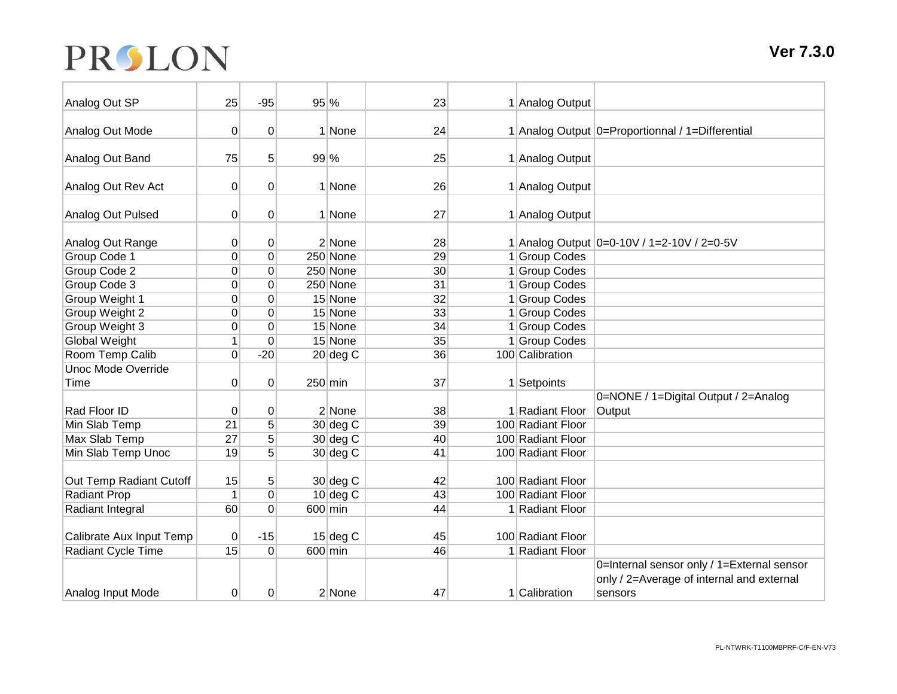# PRSLON

| Analog Out SP             | 25              | $-95$       | $95\%$    |            | 23              | 1 Analog Output   |                                                  |
|---------------------------|-----------------|-------------|-----------|------------|-----------------|-------------------|--------------------------------------------------|
| Analog Out Mode           | 0               | $\Omega$    |           | 1 None     | 24              |                   | 1 Analog Output 0=Proportionnal / 1=Differential |
| Analog Out Band           | 75              | 5           | $99\%$    |            | 25              | 1 Analog Output   |                                                  |
| Analog Out Rev Act        | 0               | $\mathbf 0$ |           | 1 None     | 26              | 1 Analog Output   |                                                  |
| Analog Out Pulsed         | $\vert 0 \vert$ | 0           |           | 1 None     | 27              | 1 Analog Output   |                                                  |
| Analog Out Range          | 0               | $\pmb{0}$   |           | 2 None     | 28              |                   | 1 Analog Output 0=0-10V / 1=2-10V / 2=0-5V       |
| Group Code 1              | 0               | $\mathbf 0$ |           | 250 None   | 29              | 1 Group Codes     |                                                  |
| Group Code 2              | 0               | $\mathbf 0$ |           | 250 None   | 30 <sup>°</sup> | 1 Group Codes     |                                                  |
| Group Code 3              | 0               | $\Omega$    |           | 250 None   | 31              | 1 Group Codes     |                                                  |
| Group Weight 1            | 0               | $\mathbf 0$ |           | 15 None    | 32              | 1 Group Codes     |                                                  |
| Group Weight 2            | 0               | $\Omega$    |           | 15 None    | 33              | 1 Group Codes     |                                                  |
| Group Weight 3            | 0               | $\mathbf 0$ |           | 15 None    | 34              | 1 Group Codes     |                                                  |
| <b>Global Weight</b>      | $\mathbf{1}$    | 0           |           | 15 None    | 35              | 1 Group Codes     |                                                  |
| Room Temp Calib           | 0               | $-20$       |           | $20$ deg C | 36              | 100 Calibration   |                                                  |
| <b>Unoc Mode Override</b> |                 |             |           |            |                 |                   |                                                  |
| Time                      | 0               | 0           | $250$ min |            | 37              | 1 Setpoints       |                                                  |
|                           |                 |             |           |            |                 |                   | 0=NONE / 1=Digital Output / 2=Analog             |
| Rad Floor ID              | 0               | $\mathbf 0$ |           | 2 None     | 38              | 1 Radiant Floor   | Output                                           |
| Min Slab Temp             | $\overline{21}$ | 5           |           | $30$ deg C | 39              | 100 Radiant Floor |                                                  |
| Max Slab Temp             | 27              | 5           |           | $30$ deg C | 40              | 100 Radiant Floor |                                                  |
| Min Slab Temp Unoc        | 19              | 5           |           | $30$ deg C | 41              | 100 Radiant Floor |                                                  |
|                           |                 |             |           |            |                 |                   |                                                  |
| Out Temp Radiant Cutoff   | 15              | 5           |           | $30$ deg C | 42              | 100 Radiant Floor |                                                  |
| <b>Radiant Prop</b>       | 1               | $\mathbf 0$ |           | $10$ deg C | 43              | 100 Radiant Floor |                                                  |
| Radiant Integral          | 60              | $\Omega$    |           | $600$ min  | 44              | 1 Radiant Floor   |                                                  |
| Calibrate Aux Input Temp  | 0               | $-15$       |           | $15$ deg C | 45              | 100 Radiant Floor |                                                  |
| Radiant Cycle Time        | 15              | $\Omega$    |           | 600 min    | 46              | 1 Radiant Floor   |                                                  |
|                           |                 |             |           |            |                 |                   | 0=Internal sensor only / 1=External sensor       |
|                           |                 |             |           |            |                 |                   | only / 2=Average of internal and external        |
| Analog Input Mode         | 0               | $\mathbf 0$ |           | 2 None     | 47              | 1 Calibration     | sensors                                          |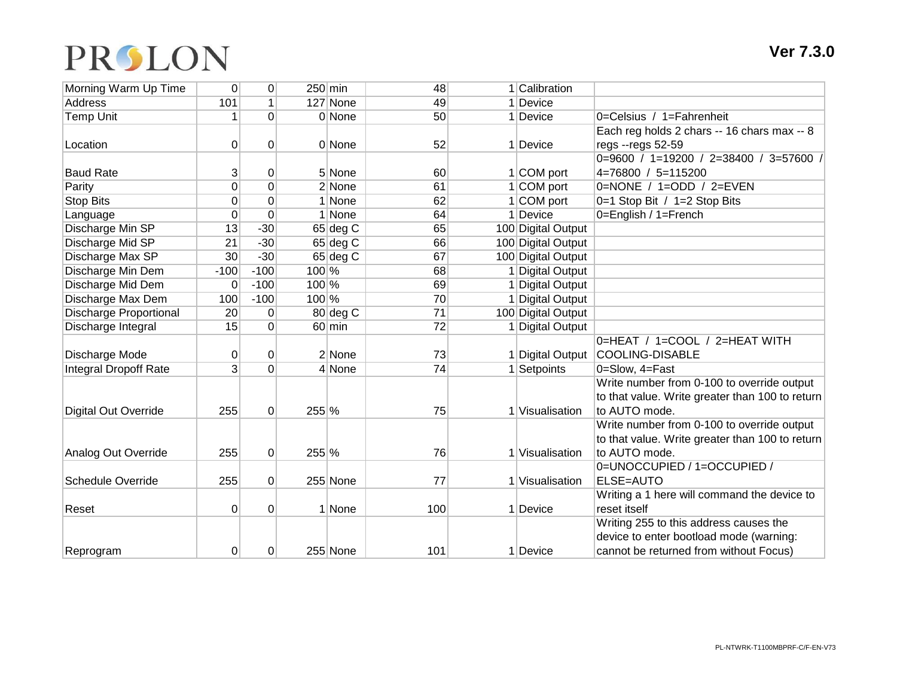## PRSLON

| Morning Warm Up Time          | $\Omega$       | $\overline{0}$ | $250$ min |            | 48  | 1 Calibration      |                                                 |
|-------------------------------|----------------|----------------|-----------|------------|-----|--------------------|-------------------------------------------------|
| Address                       | 101            | $\mathbf{1}$   |           | 127 None   | 49  | 1 Device           |                                                 |
| <b>Temp Unit</b>              | 1              | $\Omega$       |           | 0 None     | 50  | 1 Device           | 0=Celsius / 1=Fahrenheit                        |
|                               |                |                |           |            |     |                    | Each reg holds 2 chars -- 16 chars max -- 8     |
| Location                      | 0              | $\mathbf 0$    |           | 0 None     | 52  | 1 Device           | regs -- regs 52-59                              |
|                               |                |                |           |            |     |                    | 0=9600 / 1=19200 / 2=38400 / 3=57600 /          |
| <b>Baud Rate</b>              | 3              | 0              |           | 5 None     | 60  | $1 COM$ port       | 4=76800 / 5=115200                              |
| Parity                        | 0              | $\overline{0}$ |           | 2 None     | 61  | $1 COM$ port       | 0=NONE / 1=ODD / 2=EVEN                         |
| Stop Bits                     | $\Omega$       | 0              |           | 1 None     | 62  | 1 COM port         | 0=1 Stop Bit / 1=2 Stop Bits                    |
| Language                      | 0              | $\mathbf 0$    |           | 1 None     | 64  | 1 Device           | 0=English / 1=French                            |
| Discharge Min SP              | 13             | $-30$          |           | $65$ deg C | 65  | 100 Digital Output |                                                 |
| Discharge Mid SP              | 21             | $-30$          |           | $65$ deg C | 66  | 100 Digital Output |                                                 |
| Discharge Max SP              | 30             | $-30$          |           | $65$ deg C | 67  | 100 Digital Output |                                                 |
| Discharge Min Dem             | $-100$         | $-100$         | $100\%$   |            | 68  | 1 Digital Output   |                                                 |
| Discharge Mid Dem             | $\Omega$       | $-100$         | 100 %     |            | 69  | 1 Digital Output   |                                                 |
| Discharge Max Dem             | 100            | $-100$         | $100\%$   |            | 70  | 1 Digital Output   |                                                 |
| <b>Discharge Proportional</b> | 20             | $\mathbf 0$    |           | 80 deg C   | 71  | 100 Digital Output |                                                 |
| Discharge Integral            | 15             | $\overline{0}$ |           | $60$ min   | 72  | 1 Digital Output   |                                                 |
|                               |                |                |           |            |     |                    | 0=HEAT / 1=COOL / 2=HEAT WITH                   |
| Discharge Mode                | 0              | 0              |           | 2 None     | 73  | 1 Digital Output   | COOLING-DISABLE                                 |
| <b>Integral Dropoff Rate</b>  | 3              | $\Omega$       |           | 4 None     | 74  | 1 Setpoints        | 0=Slow, 4=Fast                                  |
|                               |                |                |           |            |     |                    | Write number from 0-100 to override output      |
|                               |                |                |           |            |     |                    | to that value. Write greater than 100 to return |
| <b>Digital Out Override</b>   | 255            | $\overline{0}$ | 255 %     |            | 75  | 1 Visualisation    | to AUTO mode.                                   |
|                               |                |                |           |            |     |                    | Write number from 0-100 to override output      |
|                               |                |                |           |            |     |                    | to that value. Write greater than 100 to return |
| Analog Out Override           | 255            | $\overline{0}$ | $255\%$   |            | 76  | 1 Visualisation    | to AUTO mode.                                   |
|                               |                |                |           |            |     |                    | 0=UNOCCUPIED / 1=OCCUPIED /                     |
| <b>Schedule Override</b>      | 255            | $\overline{0}$ |           | 255 None   | 77  | 1 Visualisation    | ELSE=AUTO                                       |
|                               |                |                |           |            |     |                    | Writing a 1 here will command the device to     |
| Reset                         | $\overline{0}$ | $\mathbf 0$    |           | 1 None     | 100 | 1 Device           | reset itself                                    |
|                               |                |                |           |            |     |                    | Writing 255 to this address causes the          |
|                               |                |                |           |            |     |                    | device to enter bootload mode (warning:         |
| Reprogram                     | $\Omega$       | $\Omega$       |           | 255 None   | 101 | 1 Device           | cannot be returned from without Focus)          |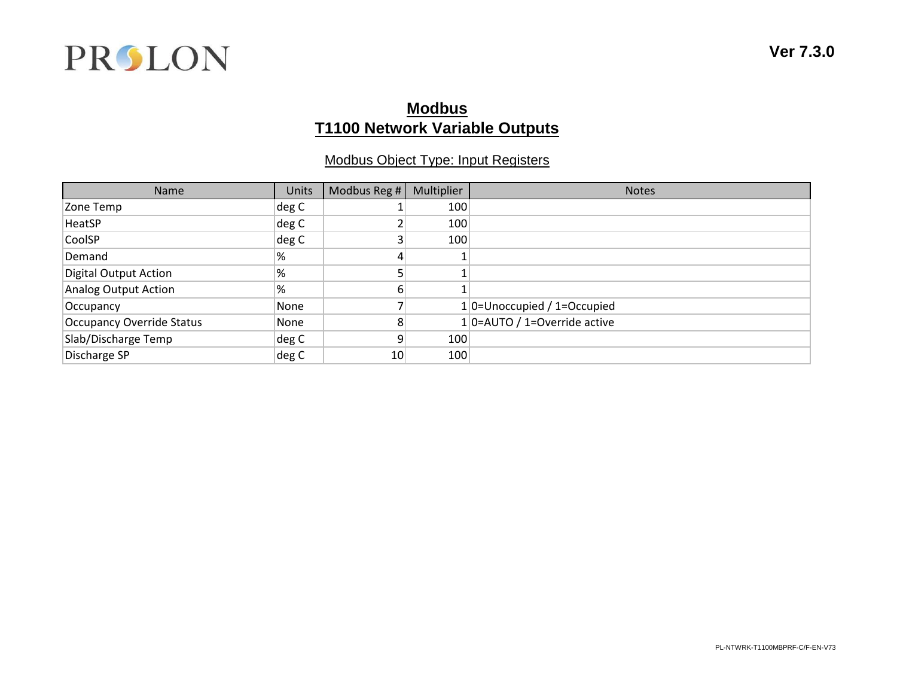

## **Modbus T1100 Network Variable Outputs**

#### Modbus Object Type: Input Registers

| Name                        | <b>Units</b> | Modbus Reg #    | Multiplier | <b>Notes</b>                     |
|-----------------------------|--------------|-----------------|------------|----------------------------------|
| Zone Temp                   | deg C        |                 | 100        |                                  |
| HeatSP                      | deg C        |                 | 100        |                                  |
| CoolSP                      | deg C        |                 | 100        |                                  |
| Demand                      | %            |                 |            |                                  |
| Digital Output Action       | !%           |                 |            |                                  |
| <b>Analog Output Action</b> | '%           | ы               |            |                                  |
| Occupancy                   | None         |                 |            | 1 0=Unoccupied / 1=Occupied      |
| Occupancy Override Status   | None         |                 |            | $1$   0=AUTO / 1=Override active |
| Slab/Discharge Temp         | deg C        |                 | 100        |                                  |
| Discharge SP                | deg C        | 10 <sub>1</sub> | 100        |                                  |